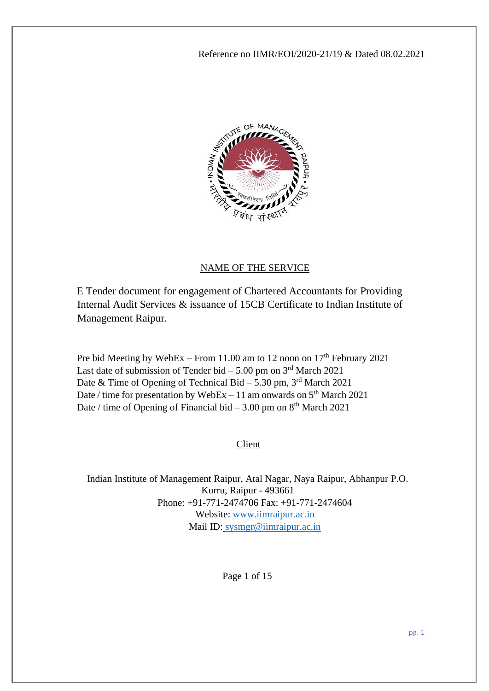

#### NAME OF THE SERVICE

E Tender document for engagement of Chartered Accountants for Providing Internal Audit Services & issuance of 15CB Certificate to Indian Institute of Management Raipur.

Pre bid Meeting by WebEx – From 11.00 am to 12 noon on  $17<sup>th</sup>$  February 2021 Last date of submission of Tender bid  $-5.00$  pm on  $3<sup>rd</sup>$  March 2021 Date & Time of Opening of Technical Bid – 5.30 pm,  $3<sup>rd</sup>$  March 2021 Date / time for presentation by WebEx  $-11$  am onwards on  $5<sup>th</sup>$  March 2021 Date / time of Opening of Financial bid  $-3.00$  pm on  $8<sup>th</sup>$  March 2021

Client

Indian Institute of Management Raipur, Atal Nagar, Naya Raipur, Abhanpur P.O. Kurru, Raipur - 493661 Phone: +91-771-2474706 Fax: +91-771-2474604 Website: [www.iimraipur.ac.in](http://www.iimraipur.ac.in/) Mail ID: [sysmgr@iimraipur.ac.in](mailto:sysmgr@iimraipur.ac.in)

Page 1 of 15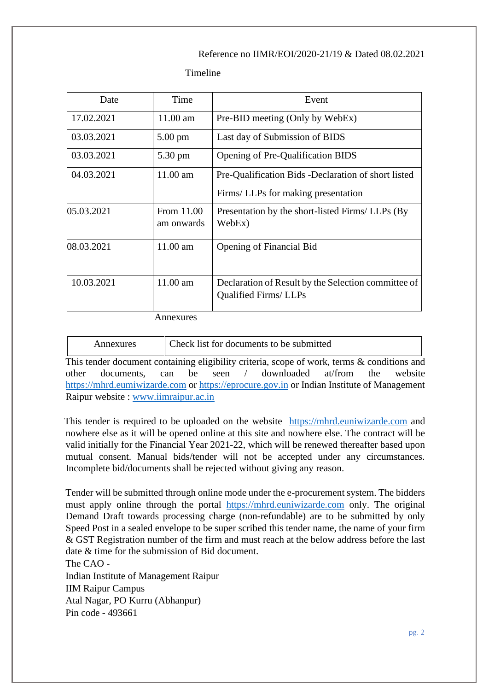Timeline

| Date       | Time                     | Event                                                                              |  |
|------------|--------------------------|------------------------------------------------------------------------------------|--|
| 17.02.2021 | $11.00$ am               | Pre-BID meeting (Only by WebEx)                                                    |  |
| 03.03.2021 | $5.00 \text{ pm}$        | Last day of Submission of BIDS                                                     |  |
| 03.03.2021 | 5.30 pm                  | Opening of Pre-Qualification BIDS                                                  |  |
| 04.03.2021 | $11.00$ am               | Pre-Qualification Bids -Declaration of short listed                                |  |
|            |                          | Firms/ LLPs for making presentation                                                |  |
| 05.03.2021 | From 11.00<br>am onwards | Presentation by the short-listed Firms/ LLPs (By<br>WebEx)                         |  |
| 08.03.2021 | $11.00$ am               | Opening of Financial Bid                                                           |  |
| 10.03.2021 | 11.00 am                 | Declaration of Result by the Selection committee of<br><b>Qualified Firms/LLPs</b> |  |

Annexures

| Annexures | Check list for documents to be submitted |
|-----------|------------------------------------------|
|           |                                          |

This tender document containing eligibility criteria, scope of work, terms & conditions and other documents, can be seen / downloaded at/from the website [https://mhrd.eumiwizarde.com](https://mhrd.eumiwizarde.com/) or [https://eprocure.gov.in](https://eprocure.gov.in/) or Indian Institute of Management Raipur website : [www.iimraipur.ac.in](http://www.iimraipur.ac.in/)

This tender is required to be uploaded on the website [https://mhrd.euniwizarde.com](https://mhrd.euniwizarde.com/) and nowhere else as it will be opened online at this site and nowhere else. The contract will be valid initially for the Financial Year 2021-22, which will be renewed thereafter based upon mutual consent. Manual bids/tender will not be accepted under any circumstances. Incomplete bid/documents shall be rejected without giving any reason.

Tender will be submitted through online mode under the e-procurement system. The bidders must apply online through the portal [https://mhrd.euniwizarde.com](https://mhrd.euniwizarde.com/) only. The original Demand Draft towards processing charge (non-refundable) are to be submitted by only Speed Post in a sealed envelope to be super scribed this tender name, the name of your firm & GST Registration number of the firm and must reach at the below address before the last date & time for the submission of Bid document. The CAO -

Indian Institute of Management Raipur IIM Raipur Campus Atal Nagar, PO Kurru (Abhanpur) Pin code - 493661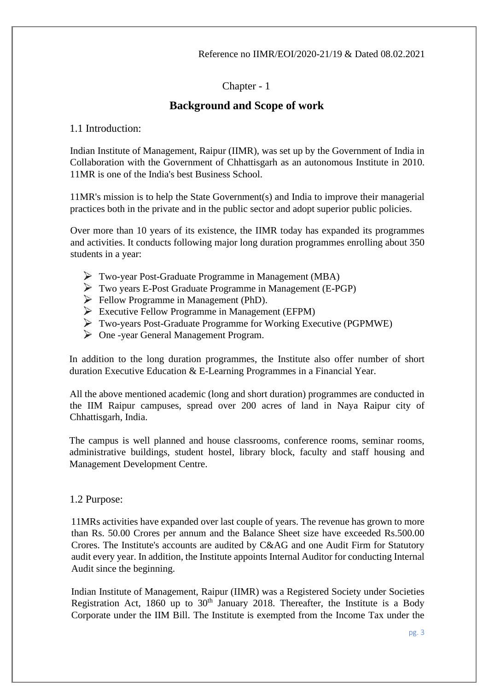## Chapter - 1

## **Background and Scope of work**

1.1 Introduction:

Indian Institute of Management, Raipur (IIMR), was set up by the Government of India in Collaboration with the Government of Chhattisgarh as an autonomous Institute in 2010. 11MR is one of the India's best Business School.

11MR's mission is to help the State Government(s) and India to improve their managerial practices both in the private and in the public sector and adopt superior public policies.

Over more than 10 years of its existence, the IIMR today has expanded its programmes and activities. It conducts following major long duration programmes enrolling about 350 students in a year:

- Two-year Post-Graduate Programme in Management (MBA)
- Two years E-Post Graduate Programme in Management (E-PGP)
- Fellow Programme in Management (PhD).
- $\triangleright$  Executive Fellow Programme in Management (EFPM)
- Two-years Post-Graduate Programme for Working Executive (PGPMWE)
- One -year General Management Program.

In addition to the long duration programmes, the Institute also offer number of short duration Executive Education & E-Learning Programmes in a Financial Year.

All the above mentioned academic (long and short duration) programmes are conducted in the IIM Raipur campuses, spread over 200 acres of land in Naya Raipur city of Chhattisgarh, India.

The campus is well planned and house classrooms, conference rooms, seminar rooms, administrative buildings, student hostel, library block, faculty and staff housing and Management Development Centre.

### 1.2 Purpose:

11MRs activities have expanded over last couple of years. The revenue has grown to more than Rs. 50.00 Crores per annum and the Balance Sheet size have exceeded Rs.500.00 Crores. The Institute's accounts are audited by C&AG and one Audit Firm for Statutory audit every year. In addition, the Institute appoints Internal Auditor for conducting Internal Audit since the beginning.

Indian Institute of Management, Raipur (IIMR) was a Registered Society under Societies Registration Act, 1860 up to  $30<sup>th</sup>$  January 2018. Thereafter, the Institute is a Body Corporate under the IIM Bill. The Institute is exempted from the Income Tax under the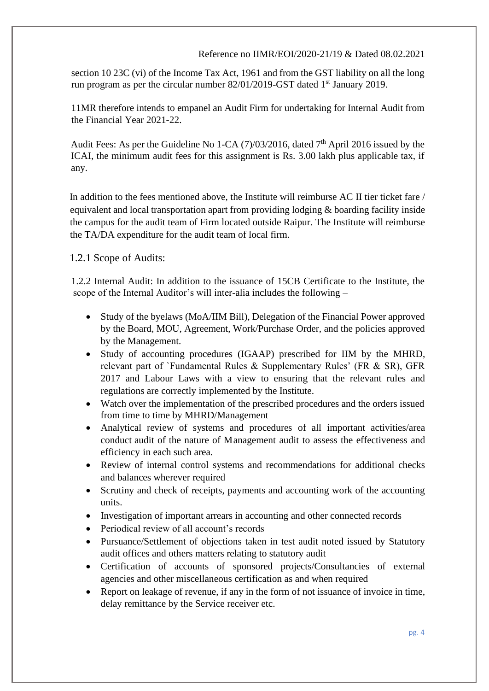section 10 23C (vi) of the Income Tax Act, 1961 and from the GST liability on all the long run program as per the circular number 82/01/2019-GST dated 1<sup>st</sup> January 2019.

11MR therefore intends to empanel an Audit Firm for undertaking for Internal Audit from the Financial Year 2021-22.

Audit Fees: As per the Guideline No 1-CA  $(7)/03/2016$ , dated  $7<sup>th</sup>$  April 2016 issued by the ICAI, the minimum audit fees for this assignment is Rs. 3.00 lakh plus applicable tax, if any.

In addition to the fees mentioned above, the Institute will reimburse AC II tier ticket fare / equivalent and local transportation apart from providing lodging & boarding facility inside the campus for the audit team of Firm located outside Raipur. The Institute will reimburse the TA/DA expenditure for the audit team of local firm.

1.2.1 Scope of Audits:

1.2.2 Internal Audit: In addition to the issuance of 15CB Certificate to the Institute, the scope of the Internal Auditor's will inter-alia includes the following –

- Study of the byelaws (MoA/IIM Bill), Delegation of the Financial Power approved by the Board, MOU, Agreement, Work/Purchase Order, and the policies approved by the Management.
- Study of accounting procedures (IGAAP) prescribed for IIM by the MHRD, relevant part of `Fundamental Rules & Supplementary Rules' (FR & SR), GFR 2017 and Labour Laws with a view to ensuring that the relevant rules and regulations are correctly implemented by the Institute.
- Watch over the implementation of the prescribed procedures and the orders issued from time to time by MHRD/Management
- Analytical review of systems and procedures of all important activities/area conduct audit of the nature of Management audit to assess the effectiveness and efficiency in each such area.
- Review of internal control systems and recommendations for additional checks and balances wherever required
- Scrutiny and check of receipts, payments and accounting work of the accounting units.
- Investigation of important arrears in accounting and other connected records
- Periodical review of all account's records
- Pursuance/Settlement of objections taken in test audit noted issued by Statutory audit offices and others matters relating to statutory audit
- Certification of accounts of sponsored projects/Consultancies of external agencies and other miscellaneous certification as and when required
- Report on leakage of revenue, if any in the form of not issuance of invoice in time, delay remittance by the Service receiver etc.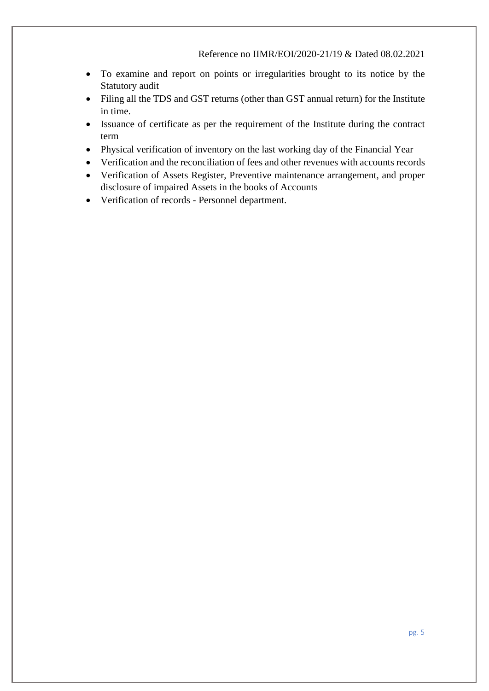- To examine and report on points or irregularities brought to its notice by the Statutory audit
- Filing all the TDS and GST returns (other than GST annual return) for the Institute in time.
- Issuance of certificate as per the requirement of the Institute during the contract term
- Physical verification of inventory on the last working day of the Financial Year
- Verification and the reconciliation of fees and other revenues with accounts records
- Verification of Assets Register, Preventive maintenance arrangement, and proper disclosure of impaired Assets in the books of Accounts
- Verification of records Personnel department.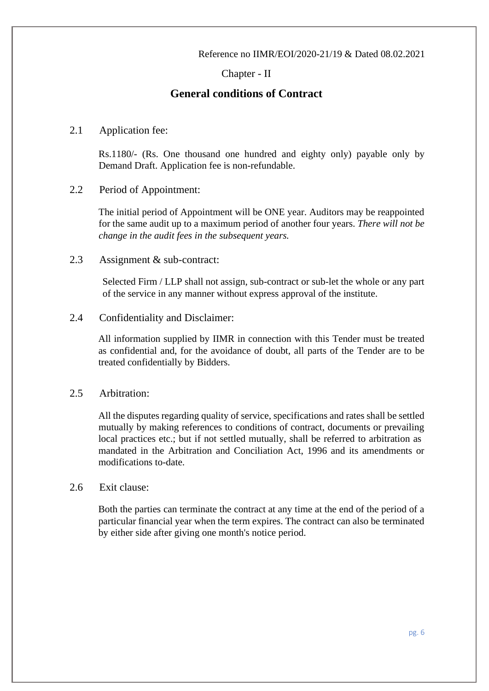## Chapter - II

## **General conditions of Contract**

2.1 Application fee:

Rs.1180/- (Rs. One thousand one hundred and eighty only) payable only by Demand Draft. Application fee is non-refundable.

2.2 Period of Appointment:

The initial period of Appointment will be ONE year. Auditors may be reappointed for the same audit up to a maximum period of another four years. *There will not be change in the audit fees in the subsequent years.*

2.3 Assignment & sub-contract:

Selected Firm / LLP shall not assign, sub-contract or sub-let the whole or any part of the service in any manner without express approval of the institute.

### 2.4 Confidentiality and Disclaimer:

All information supplied by IIMR in connection with this Tender must be treated as confidential and, for the avoidance of doubt, all parts of the Tender are to be treated confidentially by Bidders.

### 2.5 Arbitration:

All the disputes regarding quality of service, specifications and rates shall be settled mutually by making references to conditions of contract, documents or prevailing local practices etc.; but if not settled mutually, shall be referred to arbitration as mandated in the Arbitration and Conciliation Act, 1996 and its amendments or modifications to-date.

### 2.6 Exit clause:

Both the parties can terminate the contract at any time at the end of the period of a particular financial year when the term expires. The contract can also be terminated by either side after giving one month's notice period.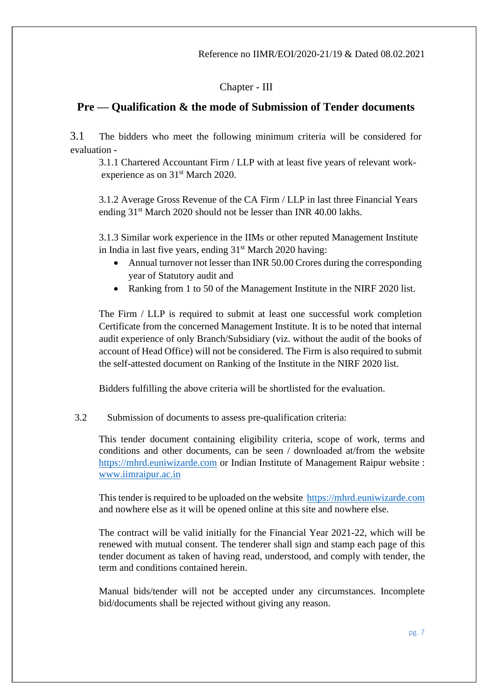## Chapter - III

## **Pre — Qualification & the mode of Submission of Tender documents**

3.1The bidders who meet the following minimum criteria will be considered for evaluation **-**

3.1.1 Chartered Accountant Firm / LLP with at least five years of relevant workexperience as on 31<sup>st</sup> March 2020.

3.1.2 Average Gross Revenue of the CA Firm / LLP in last three Financial Years ending 31<sup>st</sup> March 2020 should not be lesser than INR 40.00 lakhs.

3.1.3 Similar work experience in the IIMs or other reputed Management Institute in India in last five years, ending  $31<sup>st</sup>$  March 2020 having:

- Annual turnover not lesser than INR 50.00 Crores during the corresponding year of Statutory audit and
- Ranking from 1 to 50 of the Management Institute in the NIRF 2020 list.

The Firm / LLP is required to submit at least one successful work completion Certificate from the concerned Management Institute. It is to be noted that internal audit experience of only Branch/Subsidiary (viz. without the audit of the books of account of Head Office) will not be considered. The Firm is also required to submit the self-attested document on Ranking of the Institute in the NIRF 2020 list.

Bidders fulfilling the above criteria will be shortlisted for the evaluation.

### 3.2 Submission of documents to assess pre-qualification criteria:

This tender document containing eligibility criteria, scope of work, terms and conditions and other documents, can be seen / downloaded at/from the website [https://mhrd.euniwizarde.com](https://mhrd.euniwizarde.com/) or Indian Institute of Management Raipur website : [www.iimraipur.ac.in](http://www.iimraipur.ac.in/)

This tender is required to be uploaded on the website [https://mhrd.euniwizarde.com](https://mhrd.euniwizarde.com/) and nowhere else as it will be opened online at this site and nowhere else.

The contract will be valid initially for the Financial Year 2021-22, which will be renewed with mutual consent. The tenderer shall sign and stamp each page of this tender document as taken of having read, understood, and comply with tender, the term and conditions contained herein.

Manual bids/tender will not be accepted under any circumstances. Incomplete bid/documents shall be rejected without giving any reason.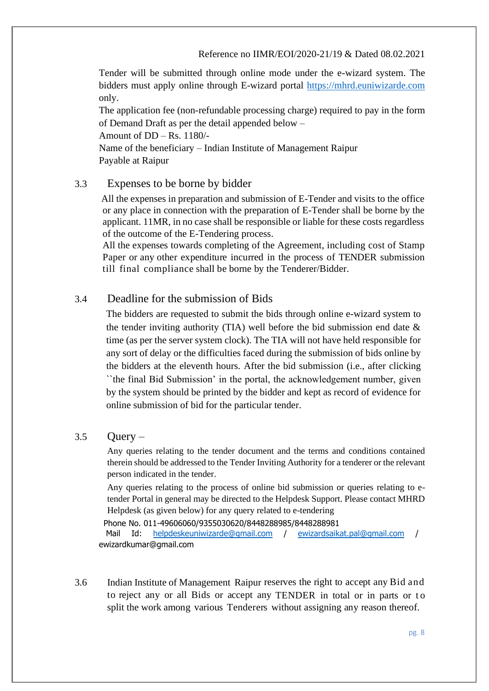Tender will be submitted through online mode under the e-wizard system. The bidders must apply online through E-wizard portal [https://mhrd.euniwizarde.com](https://mhrd.euniwizarde.com/) only.

The application fee (non-refundable processing charge) required to pay in the form of Demand Draft as per the detail appended below –

Amount of DD – Rs. 1180/-

Name of the beneficiary – Indian Institute of Management Raipur Payable at Raipur

## 3.3 Expenses to be borne by bidder

All the expenses in preparation and submission of E-Tender and visits to the office or any place in connection with the preparation of E-Tender shall be borne by the applicant. 11MR, in no case shall be responsible or liable for these costs regardless of the outcome of the E-Tendering process.

All the expenses towards completing of the Agreement, including cost of Stamp Paper or any other expenditure incurred in the process of TENDER submission till final compliance shall be borne by the Tenderer/Bidder.

## 3.4 Deadline for the submission of Bids

The bidders are requested to submit the bids through online e-wizard system to the tender inviting authority (TIA) well before the bid submission end date  $\&$ time (as per the server system clock). The TIA will not have held responsible for any sort of delay or the difficulties faced during the submission of bids online by the bidders at the eleventh hours. After the bid submission (i.e., after clicking ``the final Bid Submission' in the portal, the acknowledgement number, given by the system should be printed by the bidder and kept as record of evidence for online submission of bid for the particular tender.

### $3.5$  Ouery –

Any queries relating to the tender document and the terms and conditions contained therein should be addressed to the Tender Inviting Authority for a tenderer or the relevant person indicated in the tender.

Any queries relating to the process of online bid submission or queries relating to etender Portal in general may be directed to the Helpdesk Support. Please contact MHRD Helpdesk (as given below) for any query related to e-tendering

Phone No. 011-49606060/9355030620/8448288985/8448288981

Mail Id: [helpdeskeuniwizarde@gmail.com](mailto:helpdeskeuniwizarde@gmail.com) / [ewizardsaikat.pal@gmail.com](mailto:ewizardsaikat.pal@gmail.com) / ewizardkumar@gmail.com

3.6 Indian Institute of Management Raipur reserves the right to accept any Bid and to reject any or all Bids or accept any TENDER in total or in parts or to split the work among various Tenderers without assigning any reason thereof.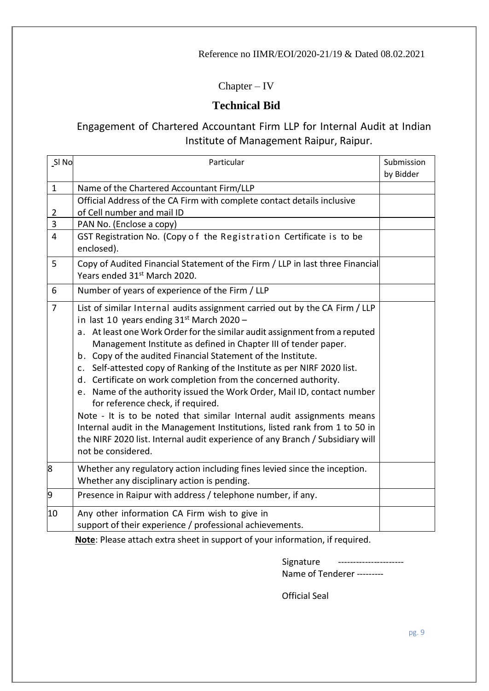## Chapter – IV

# **Technical Bid**

# Engagement of Chartered Accountant Firm LLP for Internal Audit at Indian Institute of Management Raipur, Raipur.

| SI <sub>No</sub> | Particular                                                                                                                                                                                                                                                                                                                                                                                                                                                                                                                                                                                                                                                                                                                                                                                                                                                                |  |
|------------------|---------------------------------------------------------------------------------------------------------------------------------------------------------------------------------------------------------------------------------------------------------------------------------------------------------------------------------------------------------------------------------------------------------------------------------------------------------------------------------------------------------------------------------------------------------------------------------------------------------------------------------------------------------------------------------------------------------------------------------------------------------------------------------------------------------------------------------------------------------------------------|--|
|                  |                                                                                                                                                                                                                                                                                                                                                                                                                                                                                                                                                                                                                                                                                                                                                                                                                                                                           |  |
| $\mathbf{1}$     | Name of the Chartered Accountant Firm/LLP                                                                                                                                                                                                                                                                                                                                                                                                                                                                                                                                                                                                                                                                                                                                                                                                                                 |  |
|                  | Official Address of the CA Firm with complete contact details inclusive                                                                                                                                                                                                                                                                                                                                                                                                                                                                                                                                                                                                                                                                                                                                                                                                   |  |
| $\overline{2}$   | of Cell number and mail ID                                                                                                                                                                                                                                                                                                                                                                                                                                                                                                                                                                                                                                                                                                                                                                                                                                                |  |
| 3                | PAN No. (Enclose a copy)                                                                                                                                                                                                                                                                                                                                                                                                                                                                                                                                                                                                                                                                                                                                                                                                                                                  |  |
| $\overline{4}$   | GST Registration No. (Copy of the Registration Certificate is to be<br>enclosed).                                                                                                                                                                                                                                                                                                                                                                                                                                                                                                                                                                                                                                                                                                                                                                                         |  |
| 5                | Copy of Audited Financial Statement of the Firm / LLP in last three Financial<br>Years ended 31 <sup>st</sup> March 2020.                                                                                                                                                                                                                                                                                                                                                                                                                                                                                                                                                                                                                                                                                                                                                 |  |
| 6                | Number of years of experience of the Firm / LLP                                                                                                                                                                                                                                                                                                                                                                                                                                                                                                                                                                                                                                                                                                                                                                                                                           |  |
| $\overline{7}$   | List of similar Internal audits assignment carried out by the CA Firm / LLP<br>in last 10 years ending $31st$ March 2020 -<br>a. At least one Work Order for the similar audit assignment from a reputed<br>Management Institute as defined in Chapter III of tender paper.<br>b. Copy of the audited Financial Statement of the Institute.<br>c. Self-attested copy of Ranking of the Institute as per NIRF 2020 list.<br>d. Certificate on work completion from the concerned authority.<br>e. Name of the authority issued the Work Order, Mail ID, contact number<br>for reference check, if required.<br>Note - It is to be noted that similar Internal audit assignments means<br>Internal audit in the Management Institutions, listed rank from 1 to 50 in<br>the NIRF 2020 list. Internal audit experience of any Branch / Subsidiary will<br>not be considered. |  |
| 8                | Whether any regulatory action including fines levied since the inception.<br>Whether any disciplinary action is pending.                                                                                                                                                                                                                                                                                                                                                                                                                                                                                                                                                                                                                                                                                                                                                  |  |
| 9                | Presence in Raipur with address / telephone number, if any.                                                                                                                                                                                                                                                                                                                                                                                                                                                                                                                                                                                                                                                                                                                                                                                                               |  |
| 10               | Any other information CA Firm wish to give in<br>support of their experience / professional achievements.                                                                                                                                                                                                                                                                                                                                                                                                                                                                                                                                                                                                                                                                                                                                                                 |  |

**Note**: Please attach extra sheet in support of your information, if required.

| Signature                  |  |
|----------------------------|--|
| Name of Tenderer --------- |  |

Official Seal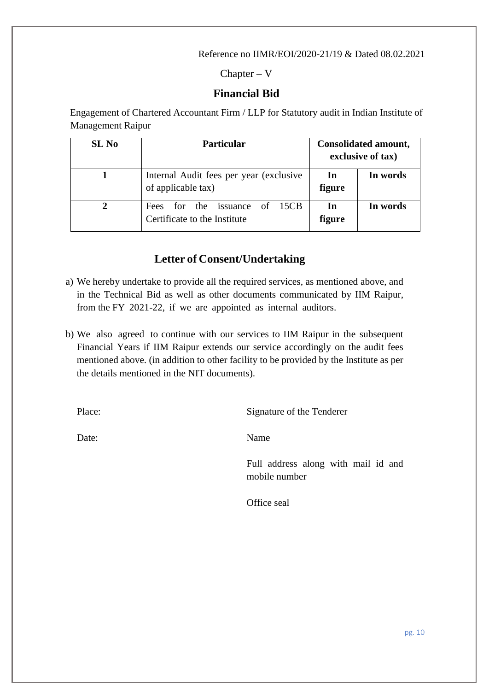$Chapter - V$ 

### **Financial Bid**

Engagement of Chartered Accountant Firm / LLP for Statutory audit in Indian Institute of Management Raipur

| SL <sub>No</sub> | <b>Particular</b>                                                       |              | Consolidated amount,<br>exclusive of tax) |
|------------------|-------------------------------------------------------------------------|--------------|-------------------------------------------|
|                  | Internal Audit fees per year (exclusive)<br>of applicable tax)          | In<br>figure | In words                                  |
|                  | for the issuance of 15CB<br><b>Fees</b><br>Certificate to the Institute | In<br>figure | In words                                  |

## **Letter of Consent/Undertaking**

- a) We hereby undertake to provide all the required services, as mentioned above, and in the Technical Bid as well as other documents communicated by IIM Raipur, from the FY 2021-22, if we are appointed as internal auditors.
- b) We also agreed to continue with our services to IIM Raipur in the subsequent Financial Years if IIM Raipur extends our service accordingly on the audit fees mentioned above. (in addition to other facility to be provided by the Institute as per the details mentioned in the NIT documents).

Place: Signature of the Tenderer

Date: Name

Full address along with mail id and mobile number

Office seal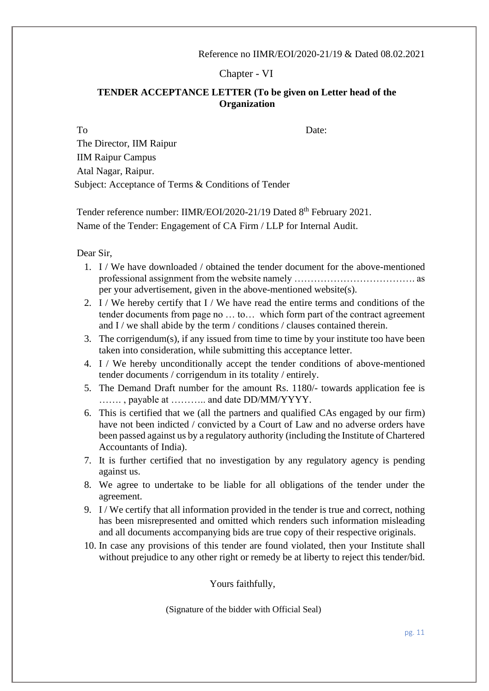Chapter - VI

### **TENDER ACCEPTANCE LETTER (To be given on Letter head of the Organization**

To Date:

The Director, IIM Raipur IIM Raipur Campus Atal Nagar, Raipur. Subject: Acceptance of Terms & Conditions of Tender

Tender reference number: IIMR/EOI/2020-21/19 Dated 8<sup>th</sup> February 2021. Name of the Tender: Engagement of CA Firm / LLP for Internal Audit.

Dear Sir,

- 1. I / We have downloaded / obtained the tender document for the above-mentioned professional assignment from the website namely ………………………………. as per your advertisement, given in the above-mentioned website(s).
- 2. I / We hereby certify that I / We have read the entire terms and conditions of the tender documents from page no … to… which form part of the contract agreement and I / we shall abide by the term  $/$  conditions  $/$  clauses contained therein.
- 3. The corrigendum(s), if any issued from time to time by your institute too have been taken into consideration, while submitting this acceptance letter.
- 4. I / We hereby unconditionally accept the tender conditions of above-mentioned tender documents / corrigendum in its totality / entirely.
- 5. The Demand Draft number for the amount Rs. 1180/- towards application fee is ……. , payable at ……….. and date DD/MM/YYYY.
- 6. This is certified that we (all the partners and qualified CAs engaged by our firm) have not been indicted / convicted by a Court of Law and no adverse orders have been passed against us by a regulatory authority (including the Institute of Chartered Accountants of India).
- 7. It is further certified that no investigation by any regulatory agency is pending against us.
- 8. We agree to undertake to be liable for all obligations of the tender under the agreement.
- 9. I / We certify that all information provided in the tender is true and correct, nothing has been misrepresented and omitted which renders such information misleading and all documents accompanying bids are true copy of their respective originals.
- 10. In case any provisions of this tender are found violated, then your Institute shall without prejudice to any other right or remedy be at liberty to reject this tender/bid.

Yours faithfully,

(Signature of the bidder with Official Seal)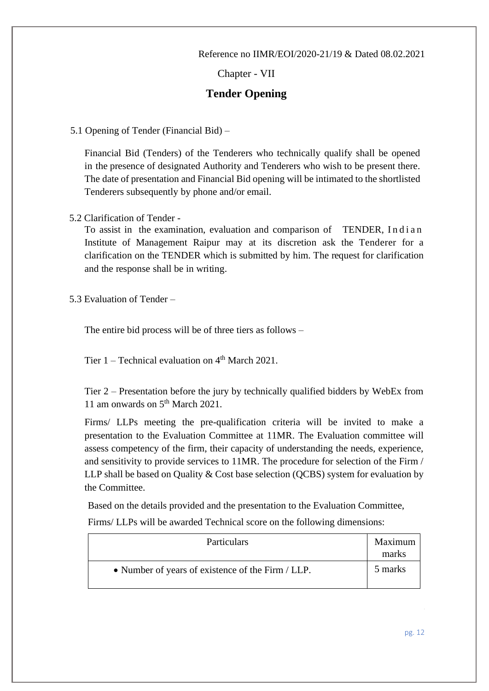Chapter - VII

## **Tender Opening**

5.1 Opening of Tender (Financial Bid) –

Financial Bid (Tenders) of the Tenderers who technically qualify shall be opened in the presence of designated Authority and Tenderers who wish to be present there. The date of presentation and Financial Bid opening will be intimated to the shortlisted Tenderers subsequently by phone and/or email.

5.2 Clarification of Tender -

To assist in the examination, evaluation and comparison of TENDER, Indian Institute of Management Raipur may at its discretion ask the Tenderer for a clarification on the TENDER which is submitted by him. The request for clarification and the response shall be in writing.

5.3 Evaluation of Tender –

The entire bid process will be of three tiers as follows –

Tier  $1$  – Technical evaluation on  $4<sup>th</sup>$  March 2021.

Tier 2 – Presentation before the jury by technically qualified bidders by WebEx from 11 am onwards on 5<sup>th</sup> March 2021.

Firms/ LLPs meeting the pre-qualification criteria will be invited to make a presentation to the Evaluation Committee at 11MR. The Evaluation committee will assess competency of the firm, their capacity of understanding the needs, experience, and sensitivity to provide services to 11MR. The procedure for selection of the Firm / LLP shall be based on Quality & Cost base selection (QCBS) system for evaluation by the Committee.

Based on the details provided and the presentation to the Evaluation Committee,

Firms/ LLPs will be awarded Technical score on the following dimensions:

| <b>Particulars</b>                                | Maximum<br>marks |
|---------------------------------------------------|------------------|
| • Number of years of existence of the Firm / LLP. | 5 marks          |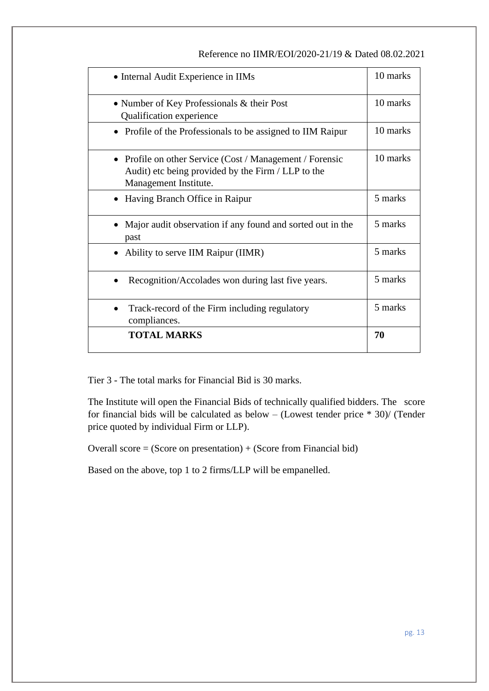| • Internal Audit Experience in IIMs                                                                                                     | 10 marks |
|-----------------------------------------------------------------------------------------------------------------------------------------|----------|
| • Number of Key Professionals & their Post<br>Qualification experience                                                                  | 10 marks |
| • Profile of the Professionals to be assigned to IIM Raipur                                                                             | 10 marks |
| • Profile on other Service (Cost / Management / Forensic<br>Audit) etc being provided by the Firm / LLP to the<br>Management Institute. | 10 marks |
| Having Branch Office in Raipur                                                                                                          | 5 marks  |
| Major audit observation if any found and sorted out in the<br>past                                                                      | 5 marks  |
| Ability to serve IIM Raipur (IIMR)                                                                                                      | 5 marks  |
| Recognition/Accolades won during last five years.                                                                                       | 5 marks  |
| Track-record of the Firm including regulatory<br>compliances.                                                                           | 5 marks  |
| <b>TOTAL MARKS</b>                                                                                                                      | 70       |

Tier 3 - The total marks for Financial Bid is 30 marks.

The Institute will open the Financial Bids of technically qualified bidders. The score for financial bids will be calculated as below – (Lowest tender price \* 30)/ (Tender price quoted by individual Firm or LLP).

Overall score  $= (Score on presentation) + (Score from Financial bid)$ 

Based on the above, top 1 to 2 firms/LLP will be empanelled.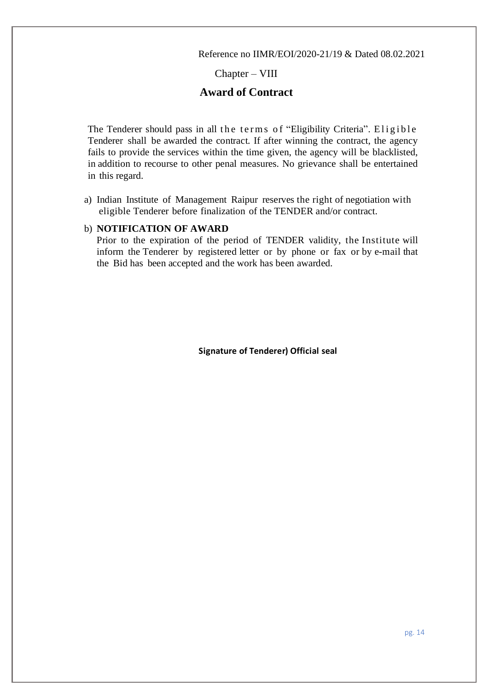### Chapter – VIII

## **Award of Contract**

The Tenderer should pass in all the terms of "Eligibility Criteria". Eligible Tenderer shall be awarded the contract. If after winning the contract, the agency fails to provide the services within the time given, the agency will be blacklisted, in addition to recourse to other penal measures. No grievance shall be entertained in this regard.

a) Indian Institute of Management Raipur reserves the right of negotiation with eligible Tenderer before finalization of the TENDER and/or contract.

#### b) **NOTIFICATION OF AWARD**

Prior to the expiration of the period of TENDER validity, the Institute will inform the Tenderer by registered letter or by phone or fax or by e-mail that the Bid has been accepted and the work has been awarded.

**Signature of Tenderer) Official seal**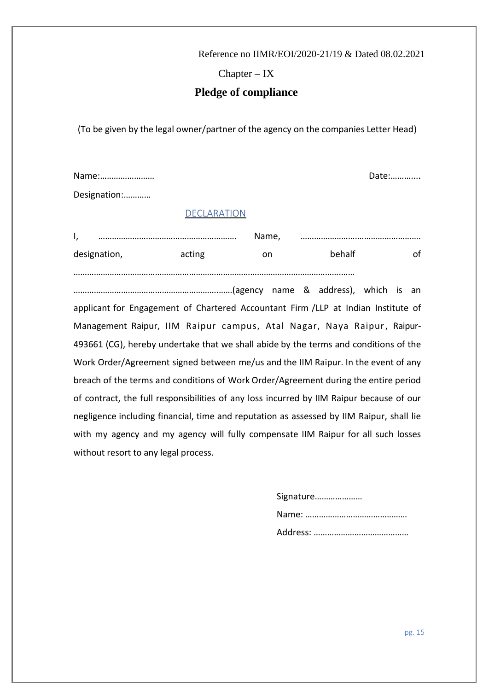$Chapter - IX$ 

## **Pledge of compliance**

(To be given by the legal owner/partner of the agency on the companies Letter Head)

Name:…………………… Date:………....

Designation:…………

#### DECLARATION

| .,           |        | Name, |        |  |
|--------------|--------|-------|--------|--|
| designation, | acting | nn    | behalf |  |

……………………………………………………………………………………………………….……

……………………………………………………….……(agency name & address), which is an applicant for Engagement of Chartered Accountant Firm /LLP at Indian Institute of Management Raipur, IIM Raipur campus, Atal Nagar, Naya Raipur, Raipur-493661 (CG), hereby undertake that we shall abide by the terms and conditions of the Work Order/Agreement signed between me/us and the IIM Raipur. In the event of any breach of the terms and conditions of Work Order/Agreement during the entire period of contract, the full responsibilities of any loss incurred by IIM Raipur because of our negligence including financial, time and reputation as assessed by IIM Raipur, shall lie with my agency and my agency will fully compensate IIM Raipur for all such losses without resort to any legal process.

> Signature………………… Name: ……………………………………… Address: ……………………………………